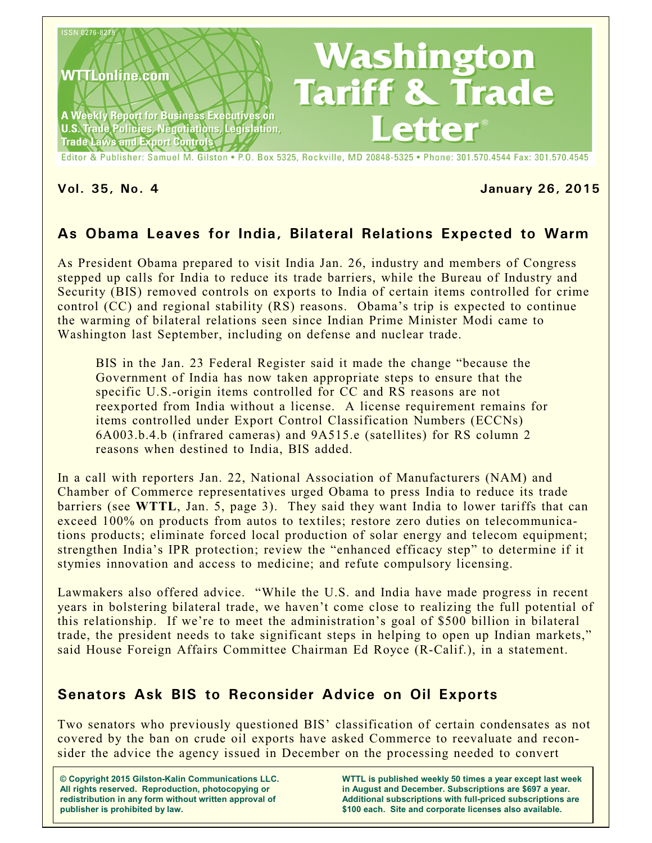

### **Vol. 35, No. 4 January 26, 2015**

# **As Obama Leaves for India, Bilateral Relations Expected to Warm**

As President Obama prepared to visit India Jan. 26, industry and members of Congress stepped up calls for India to reduce its trade barriers, while the Bureau of Industry and Security (BIS) removed controls on exports to India of certain items controlled for crime control (CC) and regional stability (RS) reasons. Obama's trip is expected to continue the warming of bilateral relations seen since Indian Prime Minister Modi came to Washington last September, including on defense and nuclear trade.

BIS in the Jan. 23 Federal Register said it made the change "because the Government of India has now taken appropriate steps to ensure that the specific U.S.-origin items controlled for CC and RS reasons are not reexported from India without a license. A license requirement remains for items controlled under Export Control Classification Numbers (ECCNs) 6A003.b.4.b (infrared cameras) and 9A515.e (satellites) for RS column 2 reasons when destined to India, BIS added.

In a call with reporters Jan. 22, National Association of Manufacturers (NAM) and Chamber of Commerce representatives urged Obama to press India to reduce its trade barriers (see **WTTL**, Jan. 5, page 3). They said they want India to lower tariffs that can exceed 100% on products from autos to textiles; restore zero duties on telecommunications products; eliminate forced local production of solar energy and telecom equipment; strengthen India's IPR protection; review the "enhanced efficacy step" to determine if it stymies innovation and access to medicine; and refute compulsory licensing.

Lawmakers also offered advice. "While the U.S. and India have made progress in recent years in bolstering bilateral trade, we haven't come close to realizing the full potential of this relationship. If we're to meet the administration's goal of \$500 billion in bilateral trade, the president needs to take significant steps in helping to open up Indian markets," said House Foreign Affairs Committee Chairman Ed Royce (R-Calif.), in a statement.

# **Senators Ask BIS to Reconsider Advice on Oil Exports**

Two senators who previously questioned BIS' classification of certain condensates as not covered by the ban on crude oil exports have asked Commerce to reevaluate and reconsider the advice the agency issued in December on the processing needed to convert

**© Copyright 2015 Gilston-Kalin Communications LLC. All rights reserved. Reproduction, photocopying or redistribution in any form without written approval of publisher is prohibited by law.**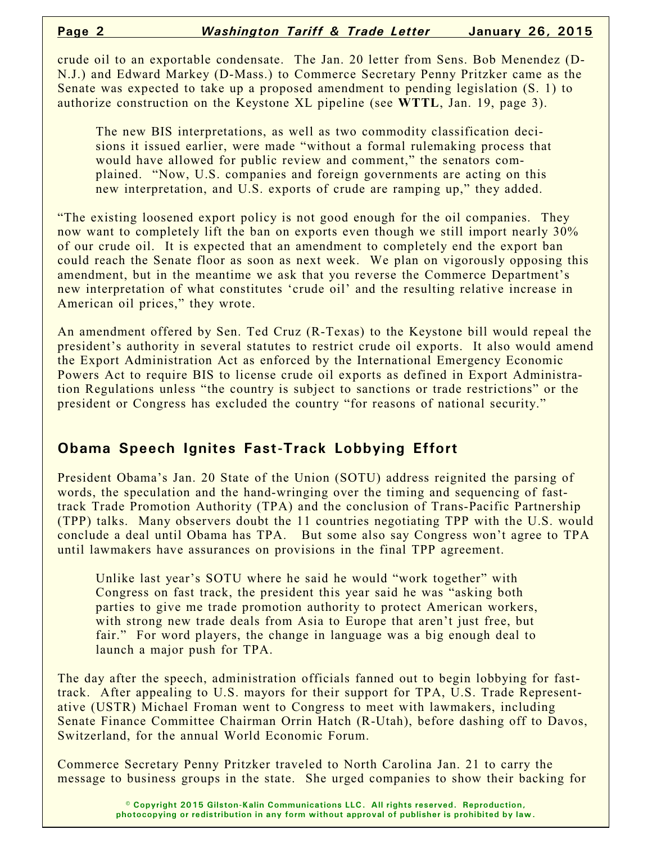crude oil to an exportable condensate. The Jan. 20 letter from Sens. Bob Menendez (D-N.J.) and Edward Markey (D-Mass.) to Commerce Secretary Penny Pritzker came as the Senate was expected to take up a proposed amendment to pending legislation (S. 1) to authorize construction on the Keystone XL pipeline (see **WTTL**, Jan. 19, page 3).

The new BIS interpretations, as well as two commodity classification decisions it issued earlier, were made "without a formal rulemaking process that would have allowed for public review and comment," the senators complained. "Now, U.S. companies and foreign governments are acting on this new interpretation, and U.S. exports of crude are ramping up," they added.

"The existing loosened export policy is not good enough for the oil companies. They now want to completely lift the ban on exports even though we still import nearly 30% of our crude oil. It is expected that an amendment to completely end the export ban could reach the Senate floor as soon as next week. We plan on vigorously opposing this amendment, but in the meantime we ask that you reverse the Commerce Department's new interpretation of what constitutes 'crude oil' and the resulting relative increase in American oil prices," they wrote.

An amendment offered by Sen. Ted Cruz (R-Texas) to the Keystone bill would repeal the president's authority in several statutes to restrict crude oil exports. It also would amend the Export Administration Act as enforced by the International Emergency Economic Powers Act to require BIS to license crude oil exports as defined in Export Administration Regulations unless "the country is subject to sanctions or trade restrictions" or the president or Congress has excluded the country "for reasons of national security."

# **Obama Speech Ignites Fast-Track Lobbying Effort**

President Obama's Jan. 20 State of the Union (SOTU) address reignited the parsing of words, the speculation and the hand-wringing over the timing and sequencing of fasttrack Trade Promotion Authority (TPA) and the conclusion of Trans-Pacific Partnership (TPP) talks. Many observers doubt the 11 countries negotiating TPP with the U.S. would conclude a deal until Obama has TPA. But some also say Congress won't agree to TPA until lawmakers have assurances on provisions in the final TPP agreement.

Unlike last year's SOTU where he said he would "work together" with Congress on fast track, the president this year said he was "asking both parties to give me trade promotion authority to protect American workers, with strong new trade deals from Asia to Europe that aren't just free, but fair." For word players, the change in language was a big enough deal to launch a major push for TPA.

The day after the speech, administration officials fanned out to begin lobbying for fasttrack. After appealing to U.S. mayors for their support for TPA, U.S. Trade Representative (USTR) Michael Froman went to Congress to meet with lawmakers, including Senate Finance Committee Chairman Orrin Hatch (R-Utah), before dashing off to Davos, Switzerland, for the annual World Economic Forum.

Commerce Secretary Penny Pritzker traveled to North Carolina Jan. 21 to carry the message to business groups in the state. She urged companies to show their backing for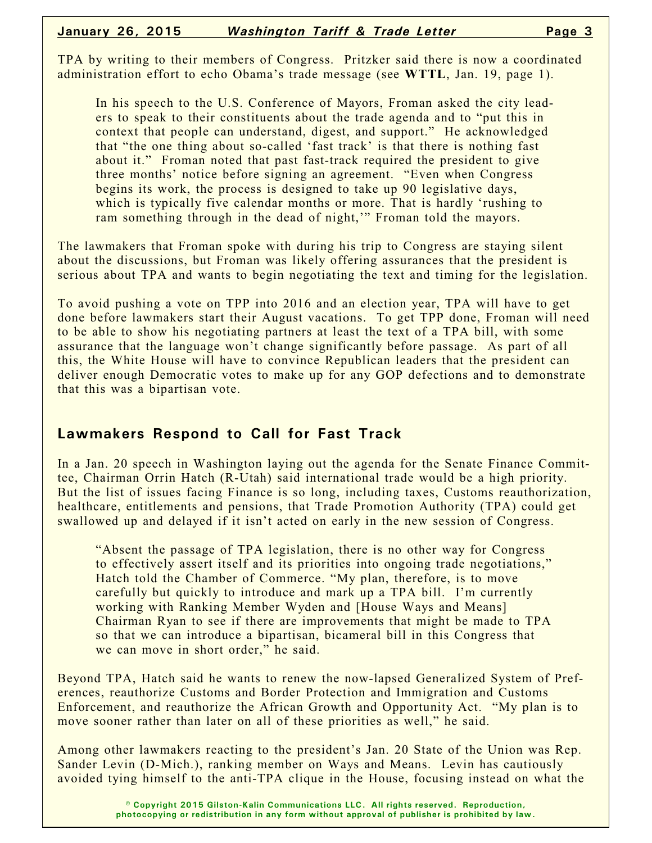TPA by writing to their members of Congress. Pritzker said there is now a coordinated administration effort to echo Obama's trade message (see **WTTL**, Jan. 19, page 1).

In his speech to the U.S. Conference of Mayors, Froman asked the city leaders to speak to their constituents about the trade agenda and to "put this in context that people can understand, digest, and support." He acknowledged that "the one thing about so-called 'fast track' is that there is nothing fast about it." Froman noted that past fast-track required the president to give three months' notice before signing an agreement. "Even when Congress begins its work, the process is designed to take up 90 legislative days, which is typically five calendar months or more. That is hardly 'rushing to ram something through in the dead of night," Froman told the mayors.

The lawmakers that Froman spoke with during his trip to Congress are staying silent about the discussions, but Froman was likely offering assurances that the president is serious about TPA and wants to begin negotiating the text and timing for the legislation.

To avoid pushing a vote on TPP into 2016 and an election year, TPA will have to get done before lawmakers start their August vacations. To get TPP done, Froman will need to be able to show his negotiating partners at least the text of a TPA bill, with some assurance that the language won't change significantly before passage. As part of all this, the White House will have to convince Republican leaders that the president can deliver enough Democratic votes to make up for any GOP defections and to demonstrate that this was a bipartisan vote.

### **Lawmakers Respond to Call for Fast Track**

In a Jan. 20 speech in Washington laying out the agenda for the Senate Finance Committee, Chairman Orrin Hatch (R-Utah) said international trade would be a high priority. But the list of issues facing Finance is so long, including taxes, Customs reauthorization, healthcare, entitlements and pensions, that Trade Promotion Authority (TPA) could get swallowed up and delayed if it isn't acted on early in the new session of Congress.

"Absent the passage of TPA legislation, there is no other way for Congress to effectively assert itself and its priorities into ongoing trade negotiations," Hatch told the Chamber of Commerce. "My plan, therefore, is to move carefully but quickly to introduce and mark up a TPA bill. I'm currently working with Ranking Member Wyden and [House Ways and Means] Chairman Ryan to see if there are improvements that might be made to TPA so that we can introduce a bipartisan, bicameral bill in this Congress that we can move in short order," he said.

Beyond TPA, Hatch said he wants to renew the now-lapsed Generalized System of Preferences, reauthorize Customs and Border Protection and Immigration and Customs Enforcement, and reauthorize the African Growth and Opportunity Act. "My plan is to move sooner rather than later on all of these priorities as well," he said.

Among other lawmakers reacting to the president's Jan. 20 State of the Union was Rep. Sander Levin (D-Mich.), ranking member on Ways and Means. Levin has cautiously avoided tying himself to the anti-TPA clique in the House, focusing instead on what the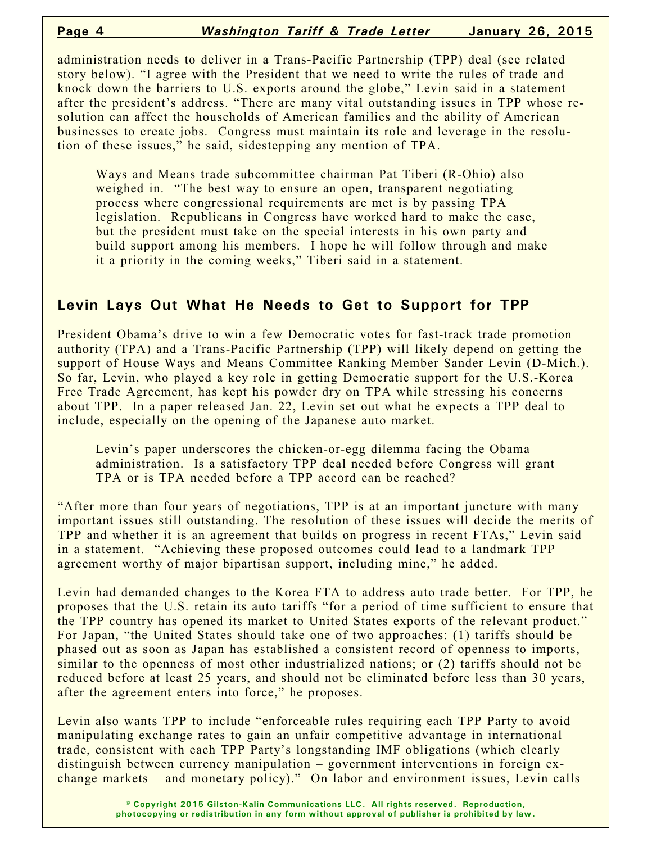administration needs to deliver in a Trans-Pacific Partnership (TPP) deal (see related story below). "I agree with the President that we need to write the rules of trade and knock down the barriers to U.S. exports around the globe," Levin said in a statement after the president's address. "There are many vital outstanding issues in TPP whose resolution can affect the households of American families and the ability of American businesses to create jobs. Congress must maintain its role and leverage in the resolution of these issues," he said, sidestepping any mention of TPA.

Ways and Means trade subcommittee chairman Pat Tiberi (R-Ohio) also weighed in. "The best way to ensure an open, transparent negotiating process where congressional requirements are met is by passing TPA legislation. Republicans in Congress have worked hard to make the case, but the president must take on the special interests in his own party and build support among his members. I hope he will follow through and make it a priority in the coming weeks," Tiberi said in a statement.

## **Levin Lays Out What He Needs to Get to Support for TPP**

President Obama's drive to win a few Democratic votes for fast-track trade promotion authority (TPA) and a Trans-Pacific Partnership (TPP) will likely depend on getting the support of House Ways and Means Committee Ranking Member Sander Levin (D-Mich.). So far, Levin, who played a key role in getting Democratic support for the U.S.-Korea Free Trade Agreement, has kept his powder dry on TPA while stressing his concerns about TPP. In a paper released Jan. 22, Levin set out what he expects a TPP deal to include, especially on the opening of the Japanese auto market.

Levin's paper underscores the chicken-or-egg dilemma facing the Obama administration. Is a satisfactory TPP deal needed before Congress will grant TPA or is TPA needed before a TPP accord can be reached?

"After more than four years of negotiations, TPP is at an important juncture with many important issues still outstanding. The resolution of these issues will decide the merits of TPP and whether it is an agreement that builds on progress in recent FTAs," Levin said in a statement. "Achieving these proposed outcomes could lead to a landmark TPP agreement worthy of major bipartisan support, including mine," he added.

Levin had demanded changes to the Korea FTA to address auto trade better. For TPP, he proposes that the U.S. retain its auto tariffs "for a period of time sufficient to ensure that the TPP country has opened its market to United States exports of the relevant product." For Japan, "the United States should take one of two approaches: (1) tariffs should be phased out as soon as Japan has established a consistent record of openness to imports, similar to the openness of most other industrialized nations; or (2) tariffs should not be reduced before at least 25 years, and should not be eliminated before less than 30 years, after the agreement enters into force," he proposes.

Levin also wants TPP to include "enforceable rules requiring each TPP Party to avoid manipulating exchange rates to gain an unfair competitive advantage in international trade, consistent with each TPP Party's longstanding IMF obligations (which clearly distinguish between currency manipulation – government interventions in foreign exchange markets – and monetary policy)." On labor and environment issues, Levin calls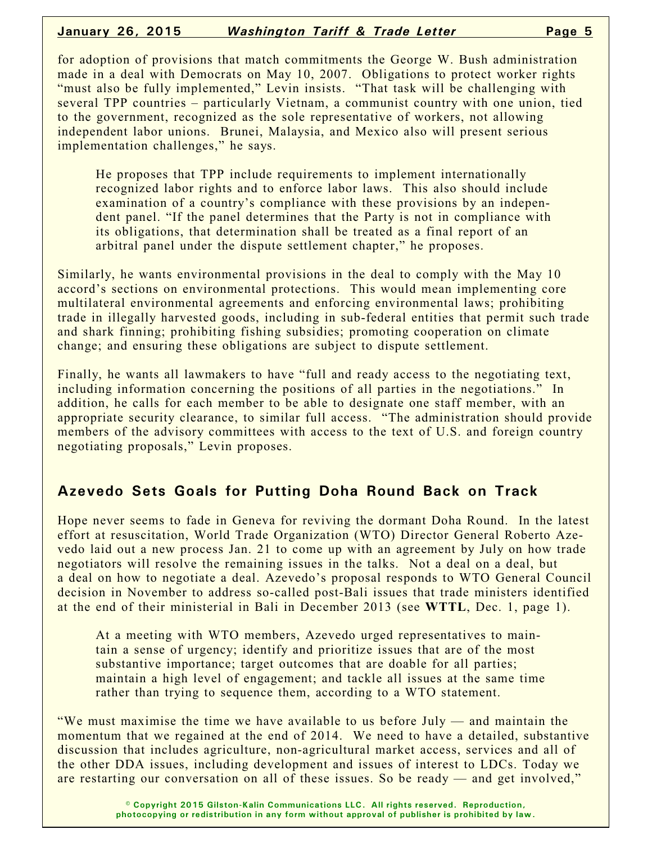#### **January 26, 2015** *Washington Tariff & Trade Letter* **Page 5**

for adoption of provisions that match commitments the George W. Bush administration made in a deal with Democrats on May 10, 2007. Obligations to protect worker rights "must also be fully implemented," Levin insists. "That task will be challenging with several TPP countries – particularly Vietnam, a communist country with one union, tied to the government, recognized as the sole representative of workers, not allowing independent labor unions. Brunei, Malaysia, and Mexico also will present serious implementation challenges," he says.

He proposes that TPP include requirements to implement internationally recognized labor rights and to enforce labor laws. This also should include examination of a country's compliance with these provisions by an independent panel. "If the panel determines that the Party is not in compliance with its obligations, that determination shall be treated as a final report of an arbitral panel under the dispute settlement chapter," he proposes.

Similarly, he wants environmental provisions in the deal to comply with the May 10 accord's sections on environmental protections. This would mean implementing core multilateral environmental agreements and enforcing environmental laws; prohibiting trade in illegally harvested goods, including in sub-federal entities that permit such trade and shark finning; prohibiting fishing subsidies; promoting cooperation on climate change; and ensuring these obligations are subject to dispute settlement.

Finally, he wants all lawmakers to have "full and ready access to the negotiating text, including information concerning the positions of all parties in the negotiations." In addition, he calls for each member to be able to designate one staff member, with an appropriate security clearance, to similar full access. "The administration should provide members of the advisory committees with access to the text of U.S. and foreign country negotiating proposals," Levin proposes.

### **Azevedo Sets Goals for Putting Doha Round Back on Track**

Hope never seems to fade in Geneva for reviving the dormant Doha Round. In the latest effort at resuscitation, World Trade Organization (WTO) Director General Roberto Azevedo laid out a new process Jan. 21 to come up with an agreement by July on how trade negotiators will resolve the remaining issues in the talks. Not a deal on a deal, but a deal on how to negotiate a deal. Azevedo's proposal responds to WTO General Council decision in November to address so-called post-Bali issues that trade ministers identified at the end of their ministerial in Bali in December 2013 (see **WTTL**, Dec. 1, page 1).

At a meeting with WTO members, Azevedo urged representatives to maintain a sense of urgency; identify and prioritize issues that are of the most substantive importance; target outcomes that are doable for all parties; maintain a high level of engagement; and tackle all issues at the same time rather than trying to sequence them, according to a WTO statement.

"We must maximise the time we have available to us before July — and maintain the momentum that we regained at the end of 2014. We need to have a detailed, substantive discussion that includes agriculture, non-agricultural market access, services and all of the other DDA issues, including development and issues of interest to LDCs. Today we are restarting our conversation on all of these issues. So be ready — and get involved,"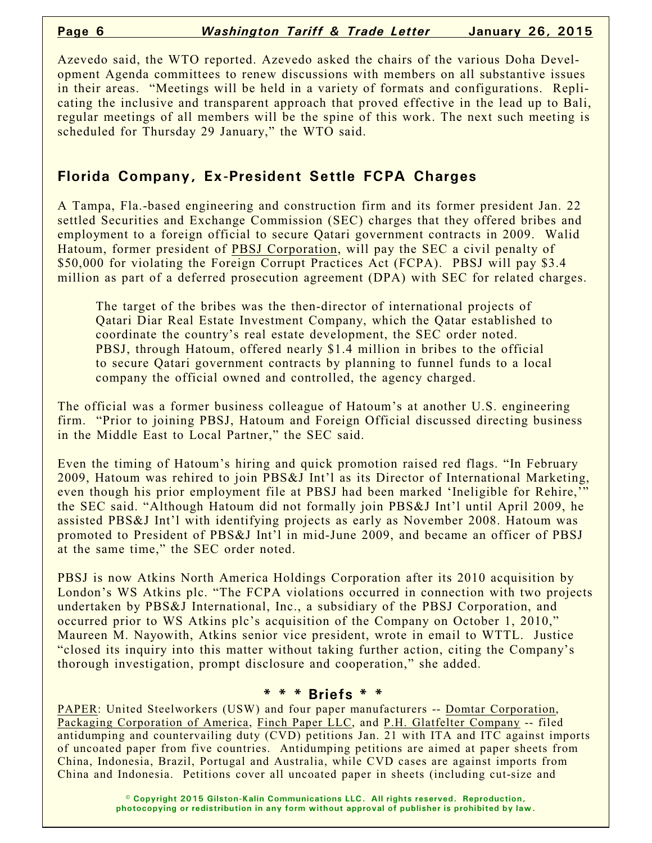Azevedo said, the WTO reported. Azevedo asked the chairs of the various Doha Development Agenda committees to renew discussions with members on all substantive issues in their areas. "Meetings will be held in a variety of formats and configurations. Replicating the inclusive and transparent approach that proved effective in the lead up to Bali, regular meetings of all members will be the spine of this work. The next such meeting is scheduled for Thursday 29 January," the WTO said.

# **Florida Company, Ex-President Settle FCPA Charges**

A Tampa, Fla.-based engineering and construction firm and its former president Jan. 22 settled Securities and Exchange Commission (SEC) charges that they offered bribes and employment to a foreign official to secure Qatari government contracts in 2009. Walid Hatoum, former president of PBSJ Corporation, will pay the SEC a civil penalty of \$50,000 for violating the Foreign Corrupt Practices Act (FCPA). PBSJ will pay \$3.4 million as part of a deferred prosecution agreement (DPA) with SEC for related charges.

The target of the bribes was the then-director of international projects of Qatari Diar Real Estate Investment Company, which the Qatar established to coordinate the country's real estate development, the SEC order noted. PBSJ, through Hatoum, offered nearly \$1.4 million in bribes to the official to secure Qatari government contracts by planning to funnel funds to a local company the official owned and controlled, the agency charged.

The official was a former business colleague of Hatoum's at another U.S. engineering firm. "Prior to joining PBSJ, Hatoum and Foreign Official discussed directing business in the Middle East to Local Partner," the SEC said.

Even the timing of Hatoum's hiring and quick promotion raised red flags. "In February 2009, Hatoum was rehired to join PBS&J Int'l as its Director of International Marketing, even though his prior employment file at PBSJ had been marked 'Ineligible for Rehire,' the SEC said. "Although Hatoum did not formally join PBS&J Int'l until April 2009, he assisted PBS&J Int'l with identifying projects as early as November 2008. Hatoum was promoted to President of PBS&J Int'l in mid-June 2009, and became an officer of PBSJ at the same time," the SEC order noted.

PBSJ is now Atkins North America Holdings Corporation after its 2010 acquisition by London's WS Atkins plc. "The FCPA violations occurred in connection with two projects undertaken by PBS&J International, Inc., a subsidiary of the PBSJ Corporation, and occurred prior to WS Atkins plc's acquisition of the Company on October 1, 2010," Maureen M. Nayowith, Atkins senior vice president, wrote in email to WTTL. Justice "closed its inquiry into this matter without taking further action, citing the Company's thorough investigation, prompt disclosure and cooperation," she added.

#### **\* \* \* Briefs \* \***

PAPER: United Steelworkers (USW) and four paper manufacturers -- Domtar Corporation, Packaging Corporation of America, Finch Paper LLC, and P.H. Glatfelter Company -- filed antidumping and countervailing duty (CVD) petitions Jan. 21 with ITA and ITC against imports of uncoated paper from five countries. Antidumping petitions are aimed at paper sheets from China, Indonesia, Brazil, Portugal and Australia, while CVD cases are against imports from China and Indonesia. Petitions cover all uncoated paper in sheets (including cut-size and

> **© Copyright 2015 Gilston-Kalin Communications LLC. All rights reserved. Reproduction, photocopying or redistribution in any form without approval of publisher is prohibited by law.**